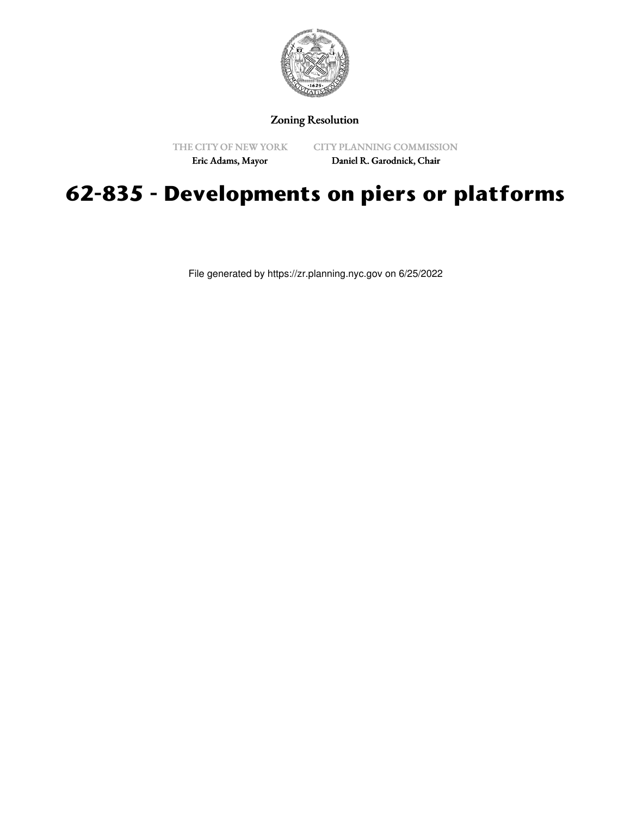

Zoning Resolution

THE CITY OF NEW YORK

CITY PLANNING COMMISSION

Eric Adams, Mayor

Daniel R. Garodnick, Chair

## **62-835 - Developments on piers or platforms**

File generated by https://zr.planning.nyc.gov on 6/25/2022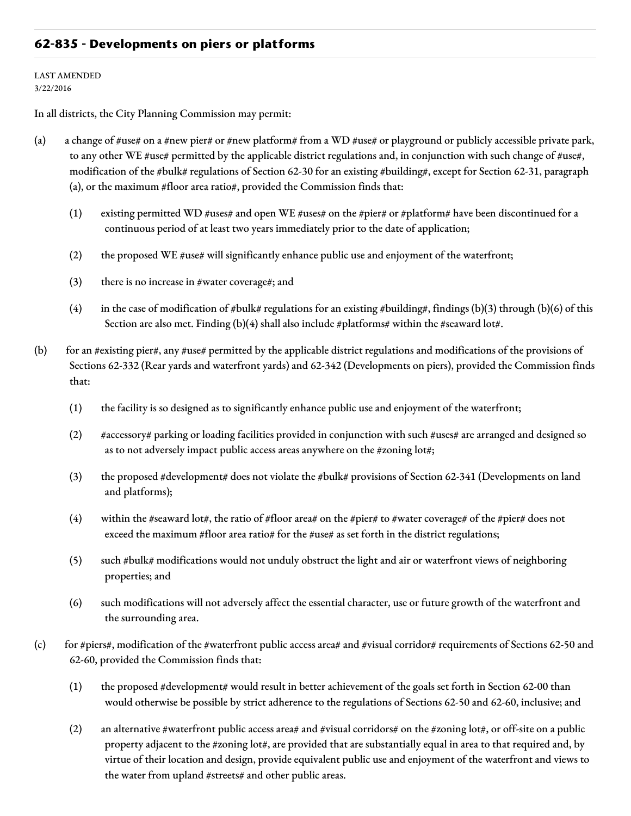## **62-835 - Developments on piers or platforms**

## LAST AMENDED 3/22/2016

In all districts, the City Planning Commission may permit:

- (a) a change of #use# on a #new pier# or #new platform# from a WD #use# or playground or publicly accessible private park, to any other WE #use# permitted by the applicable district regulations and, in conjunction with such change of #use#, modification of the #bulk# regulations of Section 62-30 for an existing #building#, except for Section 62-31, paragraph (a), or the maximum #floor area ratio#, provided the Commission finds that:
	- (1) existing permitted WD #uses# and open WE #uses# on the #pier# or #platform# have been discontinued for a continuous period of at least two years immediately prior to the date of application;
	- (2) the proposed WE #use# will significantly enhance public use and enjoyment of the waterfront;
	- (3) there is no increase in #water coverage#; and
	- (4) in the case of modification of #bulk# regulations for an existing #building#, findings (b)(3) through (b)(6) of this Section are also met. Finding (b)(4) shall also include #platforms# within the #seaward lot#.
- (b) for an #existing pier#, any #use# permitted by the applicable district regulations and modifications of the provisions of Sections 62-332 (Rear yards and waterfront yards) and 62-342 (Developments on piers), provided the Commission finds that:
	- (1) the facility is so designed as to significantly enhance public use and enjoyment of the waterfront;
	- (2) #accessory# parking or loading facilities provided in conjunction with such #uses# are arranged and designed so as to not adversely impact public access areas anywhere on the #zoning lot#;
	- (3) the proposed #development# does not violate the #bulk# provisions of Section 62-341 (Developments on land and platforms);
	- (4) within the #seaward lot#, the ratio of #floor area# on the #pier# to #water coverage# of the #pier# does not exceed the maximum #floor area ratio# for the #use# as set forth in the district regulations;
	- (5) such #bulk# modifications would not unduly obstruct the light and air or waterfront views of neighboring properties; and
	- (6) such modifications will not adversely affect the essential character, use or future growth of the waterfront and the surrounding area.
- (c) for #piers#, modification of the #waterfront public access area# and #visual corridor# requirements of Sections 62-50 and 62-60, provided the Commission finds that:
	- (1) the proposed #development# would result in better achievement of the goals set forth in Section 62-00 than would otherwise be possible by strict adherence to the regulations of Sections 62-50 and 62-60, inclusive; and
	- (2) an alternative #waterfront public access area# and #visual corridors# on the #zoning lot#, or off-site on a public property adjacent to the #zoning lot#, are provided that are substantially equal in area to that required and, by virtue of their location and design, provide equivalent public use and enjoyment of the waterfront and views to the water from upland #streets# and other public areas.